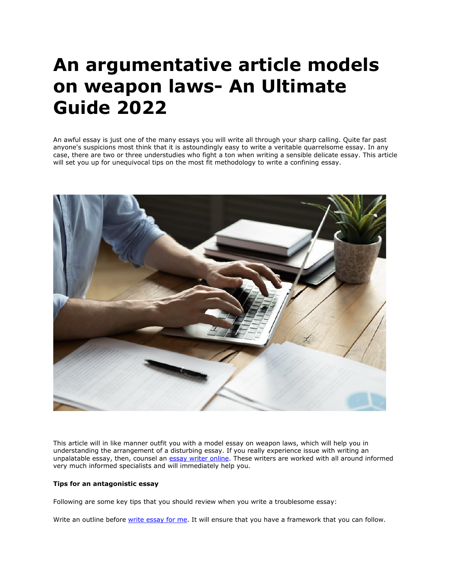# **An argumentative article models on weapon laws- An Ultimate Guide 2022**

An awful essay is just one of the many essays you will write all through your sharp calling. Quite far past anyone's suspicions most think that it is astoundingly easy to write a veritable quarrelsome essay. In any case, there are two or three understudies who fight a ton when writing a sensible delicate essay. This article will set you up for unequivocal tips on the most fit methodology to write a confining essay.



This article will in like manner outfit you with a model essay on weapon laws, which will help you in understanding the arrangement of a disturbing essay. If you really experience issue with writing an unpalatable essay, then, counsel an [essay writer online.](https://essaywriternow.com/) These writers are worked with all around informed very much informed specialists and will immediately help you.

## **Tips for an antagonistic essay**

Following are some key tips that you should review when you write a troublesome essay:

Write an outline before [write essay for me.](https://writemyessayfast.net/) It will ensure that you have a framework that you can follow.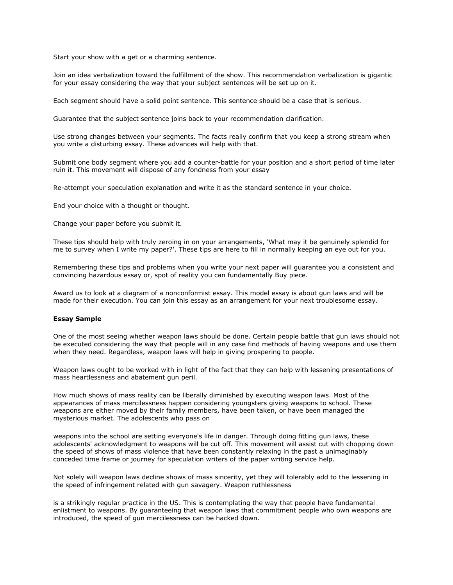Start your show with a get or a charming sentence.

Join an idea verbalization toward the fulfillment of the show. This recommendation verbalization is gigantic for your essay considering the way that your subject sentences will be set up on it.

Each segment should have a solid point sentence. This sentence should be a case that is serious.

Guarantee that the subject sentence joins back to your recommendation clarification.

Use strong changes between your segments. The facts really confirm that you keep a strong stream when you write a disturbing essay. These advances will help with that.

Submit one body segment where you add a counter-battle for your position and a short period of time later ruin it. This movement will dispose of any fondness from your essay

Re-attempt your speculation explanation and write it as the standard sentence in your choice.

End your choice with a thought or thought.

Change your paper before you submit it.

These tips should help with truly zeroing in on your arrangements, 'What may it be genuinely splendid for me to survey when I write my paper?'. These tips are here to fill in normally keeping an eye out for you.

Remembering these tips and problems when you write your next paper will guarantee you a consistent and convincing hazardous essay or, spot of reality you can fundamentally Buy piece.

Award us to look at a diagram of a nonconformist essay. This model essay is about gun laws and will be made for their execution. You can join this essay as an arrangement for your next troublesome essay.

#### **Essay Sample**

One of the most seeing whether weapon laws should be done. Certain people battle that gun laws should not be executed considering the way that people will in any case find methods of having weapons and use them when they need. Regardless, weapon laws will help in giving prospering to people.

Weapon laws ought to be worked with in light of the fact that they can help with lessening presentations of mass heartlessness and abatement gun peril.

How much shows of mass reality can be liberally diminished by executing weapon laws. Most of the appearances of mass mercilessness happen considering youngsters giving weapons to school. These weapons are either moved by their family members, have been taken, or have been managed the mysterious market. The adolescents who pass on

weapons into the school are setting everyone's life in danger. Through doing fitting gun laws, these adolescents' acknowledgment to weapons will be cut off. This movement will assist cut with chopping down the speed of shows of mass violence that have been constantly relaxing in the past a unimaginably conceded time frame or journey for speculation writers of the paper writing service help.

Not solely will weapon laws decline shows of mass sincerity, yet they will tolerably add to the lessening in the speed of infringement related with gun savagery. Weapon ruthlessness

is a strikingly regular practice in the US. This is contemplating the way that people have fundamental enlistment to weapons. By guaranteeing that weapon laws that commitment people who own weapons are introduced, the speed of gun mercilessness can be hacked down.